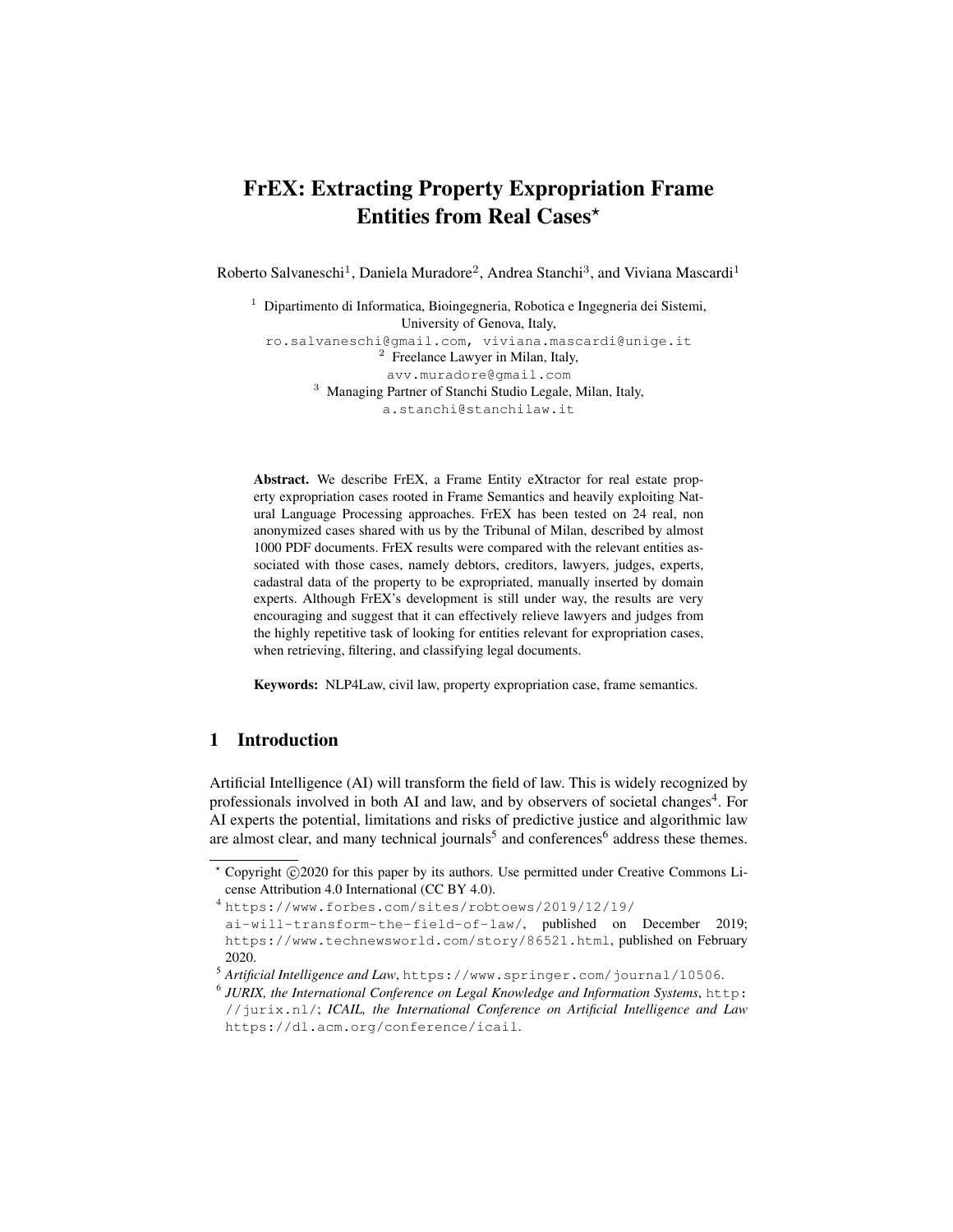# FrEX: Extracting Property Expropriation Frame Entities from Real Cases\*

Roberto Salvaneschi<sup>1</sup>, Daniela Muradore<sup>2</sup>, Andrea Stanchi<sup>3</sup>, and Viviana Mascardi<sup>1</sup>

<sup>1</sup> Dipartimento di Informatica, Bioingegneria, Robotica e Ingegneria dei Sistemi, University of Genova, Italy, ro.salvaneschi@gmail.com, viviana.mascardi@unige.it <sup>2</sup> Freelance Lawyer in Milan, Italy, avv.muradore@gmail.com <sup>3</sup> Managing Partner of Stanchi Studio Legale, Milan, Italy, a.stanchi@stanchilaw.it

Abstract. We describe FrEX, a Frame Entity eXtractor for real estate property expropriation cases rooted in Frame Semantics and heavily exploiting Natural Language Processing approaches. FrEX has been tested on 24 real, non anonymized cases shared with us by the Tribunal of Milan, described by almost 1000 PDF documents. FrEX results were compared with the relevant entities associated with those cases, namely debtors, creditors, lawyers, judges, experts, cadastral data of the property to be expropriated, manually inserted by domain experts. Although FrEX's development is still under way, the results are very encouraging and suggest that it can effectively relieve lawyers and judges from the highly repetitive task of looking for entities relevant for expropriation cases, when retrieving, filtering, and classifying legal documents.

Keywords: NLP4Law, civil law, property expropriation case, frame semantics.

## 1 Introduction

Artificial Intelligence (AI) will transform the field of law. This is widely recognized by professionals involved in both AI and law, and by observers of societal changes<sup>4</sup>. For AI experts the potential, limitations and risks of predictive justice and algorithmic law are almost clear, and many technical journals<sup>5</sup> and conferences<sup>6</sup> address these themes.

<sup>\*</sup> Copyright ©2020 for this paper by its authors. Use permitted under Creative Commons License Attribution 4.0 International (CC BY 4.0).

<sup>4</sup> https://www.forbes.com/sites/robtoews/2019/12/19/

ai-will-transform-the-field-of-law/, published on December 2019; https://www.technewsworld.com/story/86521.html, published on February 2020.

<sup>5</sup> *Artificial Intelligence and Law*, https://www.springer.com/journal/10506.

<sup>6</sup> *JURIX, the International Conference on Legal Knowledge and Information Systems*, http: //jurix.nl/; *ICAIL, the International Conference on Artificial Intelligence and Law* https://dl.acm.org/conference/icail.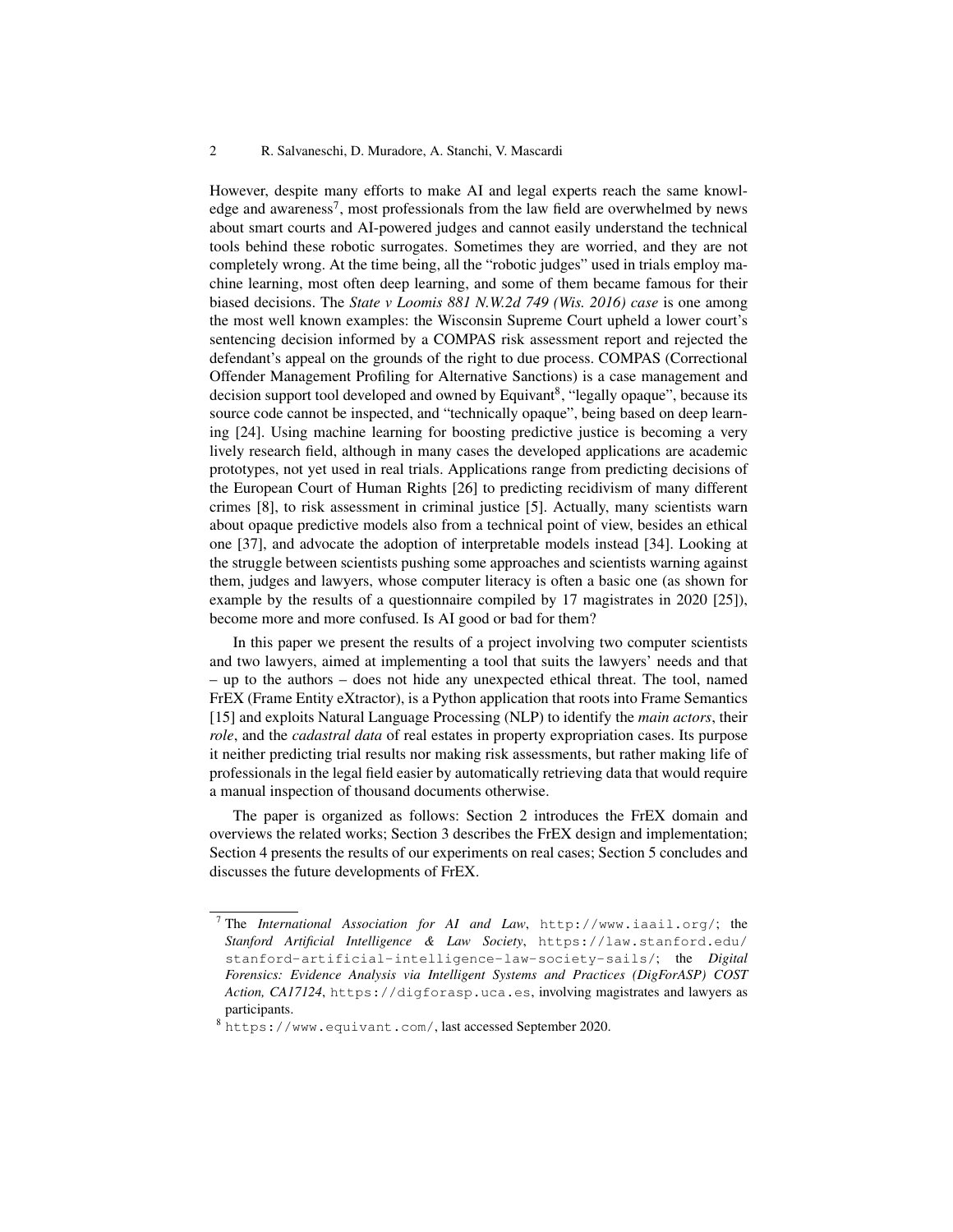#### 2 R. Salvaneschi, D. Muradore, A. Stanchi, V. Mascardi

However, despite many efforts to make AI and legal experts reach the same knowledge and awareness<sup>7</sup>, most professionals from the law field are overwhelmed by news about smart courts and AI-powered judges and cannot easily understand the technical tools behind these robotic surrogates. Sometimes they are worried, and they are not completely wrong. At the time being, all the "robotic judges" used in trials employ machine learning, most often deep learning, and some of them became famous for their biased decisions. The *State v Loomis 881 N.W.2d 749 (Wis. 2016) case* is one among the most well known examples: the Wisconsin Supreme Court upheld a lower court's sentencing decision informed by a COMPAS risk assessment report and rejected the defendant's appeal on the grounds of the right to due process. COMPAS (Correctional Offender Management Profiling for Alternative Sanctions) is a case management and decision support tool developed and owned by Equivant<sup>8</sup>, "legally opaque", because its source code cannot be inspected, and "technically opaque", being based on deep learning [24]. Using machine learning for boosting predictive justice is becoming a very lively research field, although in many cases the developed applications are academic prototypes, not yet used in real trials. Applications range from predicting decisions of the European Court of Human Rights [26] to predicting recidivism of many different crimes [8], to risk assessment in criminal justice [5]. Actually, many scientists warn about opaque predictive models also from a technical point of view, besides an ethical one [37], and advocate the adoption of interpretable models instead [34]. Looking at the struggle between scientists pushing some approaches and scientists warning against them, judges and lawyers, whose computer literacy is often a basic one (as shown for example by the results of a questionnaire compiled by 17 magistrates in 2020 [25]), become more and more confused. Is AI good or bad for them?

In this paper we present the results of a project involving two computer scientists and two lawyers, aimed at implementing a tool that suits the lawyers' needs and that – up to the authors – does not hide any unexpected ethical threat. The tool, named FrEX (Frame Entity eXtractor), is a Python application that roots into Frame Semantics [15] and exploits Natural Language Processing (NLP) to identify the *main actors*, their *role*, and the *cadastral data* of real estates in property expropriation cases. Its purpose it neither predicting trial results nor making risk assessments, but rather making life of professionals in the legal field easier by automatically retrieving data that would require a manual inspection of thousand documents otherwise.

The paper is organized as follows: Section 2 introduces the FrEX domain and overviews the related works; Section 3 describes the FrEX design and implementation; Section 4 presents the results of our experiments on real cases; Section 5 concludes and discusses the future developments of FrEX.

<sup>7</sup> The *International Association for AI and Law*, http://www.iaail.org/; the *Stanford Artificial Intelligence & Law Society*, https://law.stanford.edu/ stanford-artificial-intelligence-law-society-sails/; the *Digital Forensics: Evidence Analysis via Intelligent Systems and Practices (DigForASP) COST Action, CA17124*, https://digforasp.uca.es, involving magistrates and lawyers as participants.

<sup>8</sup> https://www.equivant.com/, last accessed September 2020.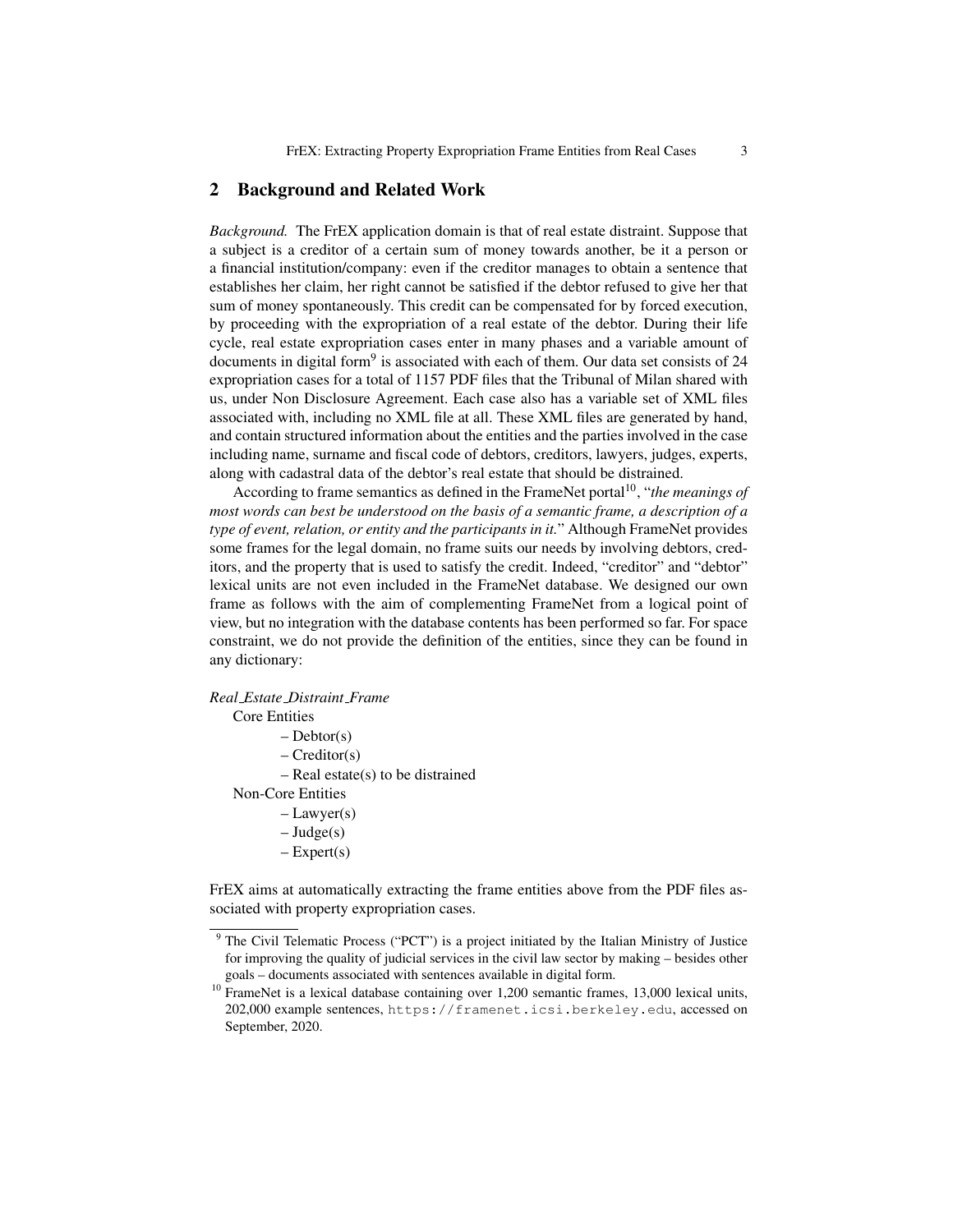#### 2 Background and Related Work

*Background.* The FrEX application domain is that of real estate distraint. Suppose that a subject is a creditor of a certain sum of money towards another, be it a person or a financial institution/company: even if the creditor manages to obtain a sentence that establishes her claim, her right cannot be satisfied if the debtor refused to give her that sum of money spontaneously. This credit can be compensated for by forced execution, by proceeding with the expropriation of a real estate of the debtor. During their life cycle, real estate expropriation cases enter in many phases and a variable amount of documents in digital form<sup>9</sup> is associated with each of them. Our data set consists of 24 expropriation cases for a total of 1157 PDF files that the Tribunal of Milan shared with us, under Non Disclosure Agreement. Each case also has a variable set of XML files associated with, including no XML file at all. These XML files are generated by hand, and contain structured information about the entities and the parties involved in the case including name, surname and fiscal code of debtors, creditors, lawyers, judges, experts, along with cadastral data of the debtor's real estate that should be distrained.

According to frame semantics as defined in the FrameNet portal<sup>10</sup>, "*the meanings of most words can best be understood on the basis of a semantic frame, a description of a type of event, relation, or entity and the participants in it.*" Although FrameNet provides some frames for the legal domain, no frame suits our needs by involving debtors, creditors, and the property that is used to satisfy the credit. Indeed, "creditor" and "debtor" lexical units are not even included in the FrameNet database. We designed our own frame as follows with the aim of complementing FrameNet from a logical point of view, but no integration with the database contents has been performed so far. For space constraint, we do not provide the definition of the entities, since they can be found in any dictionary:

*Real Estate Distraint Frame*

Core Entities

 $-$  Debtor(s)

– Creditor(s)

– Real estate(s) to be distrained

Non-Core Entities

– Lawyer(s)

- $-$  Judge(s)
- $-$  Expert(s)

FrEX aims at automatically extracting the frame entities above from the PDF files associated with property expropriation cases.

<sup>&</sup>lt;sup>9</sup> The Civil Telematic Process ("PCT") is a project initiated by the Italian Ministry of Justice for improving the quality of judicial services in the civil law sector by making – besides other goals – documents associated with sentences available in digital form.

<sup>&</sup>lt;sup>10</sup> FrameNet is a lexical database containing over 1,200 semantic frames, 13,000 lexical units, 202,000 example sentences, https://framenet.icsi.berkeley.edu, accessed on September, 2020.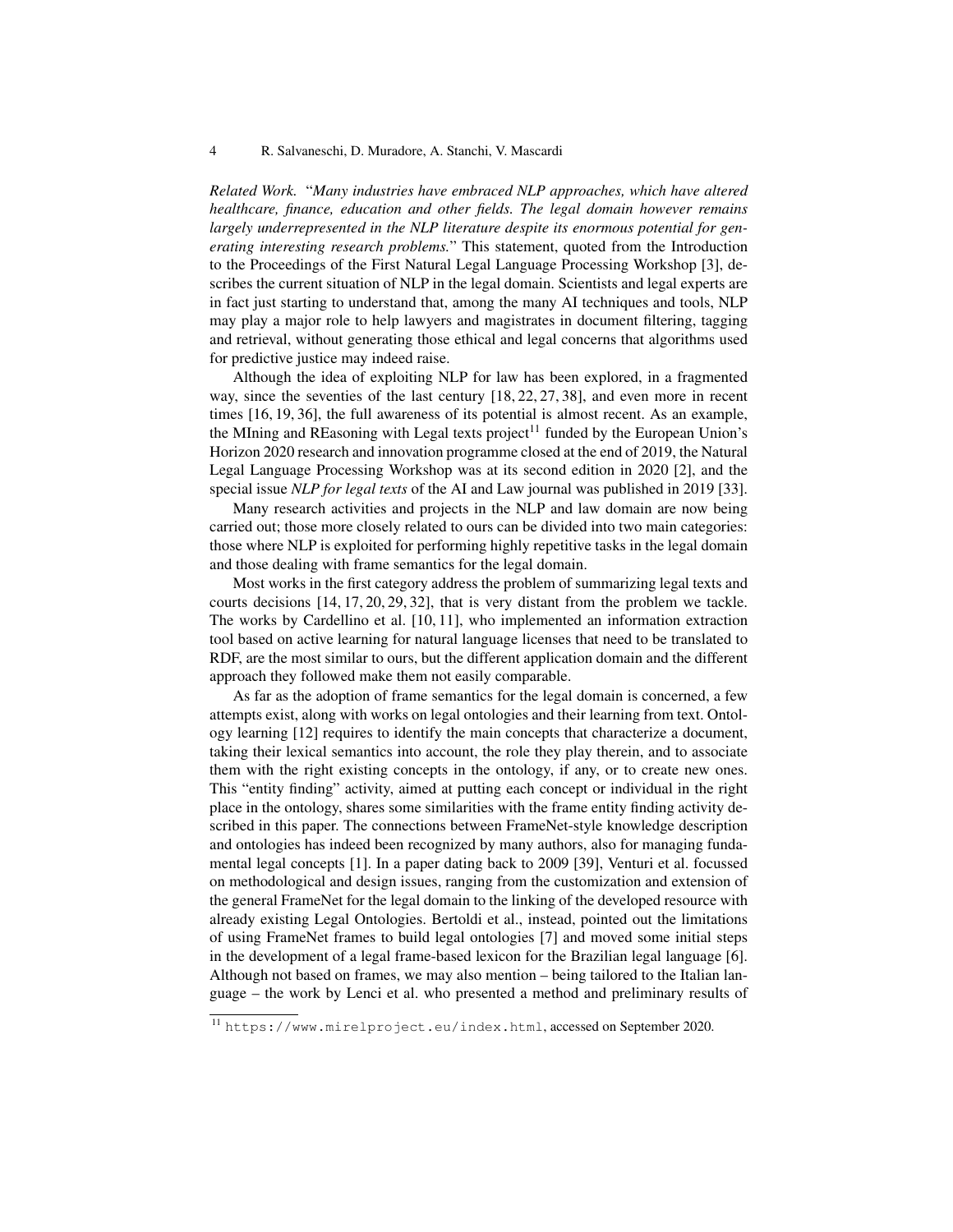*Related Work.* "*Many industries have embraced NLP approaches, which have altered healthcare, finance, education and other fields. The legal domain however remains largely underrepresented in the NLP literature despite its enormous potential for generating interesting research problems.*" This statement, quoted from the Introduction to the Proceedings of the First Natural Legal Language Processing Workshop [3], describes the current situation of NLP in the legal domain. Scientists and legal experts are in fact just starting to understand that, among the many AI techniques and tools, NLP may play a major role to help lawyers and magistrates in document filtering, tagging and retrieval, without generating those ethical and legal concerns that algorithms used for predictive justice may indeed raise.

Although the idea of exploiting NLP for law has been explored, in a fragmented way, since the seventies of the last century [18, 22, 27, 38], and even more in recent times [16, 19, 36], the full awareness of its potential is almost recent. As an example, the MIning and REasoning with Legal texts project<sup>11</sup> funded by the European Union's Horizon 2020 research and innovation programme closed at the end of 2019, the Natural Legal Language Processing Workshop was at its second edition in 2020 [2], and the special issue *NLP for legal texts* of the AI and Law journal was published in 2019 [33].

Many research activities and projects in the NLP and law domain are now being carried out; those more closely related to ours can be divided into two main categories: those where NLP is exploited for performing highly repetitive tasks in the legal domain and those dealing with frame semantics for the legal domain.

Most works in the first category address the problem of summarizing legal texts and courts decisions [14, 17, 20, 29, 32], that is very distant from the problem we tackle. The works by Cardellino et al. [10, 11], who implemented an information extraction tool based on active learning for natural language licenses that need to be translated to RDF, are the most similar to ours, but the different application domain and the different approach they followed make them not easily comparable.

As far as the adoption of frame semantics for the legal domain is concerned, a few attempts exist, along with works on legal ontologies and their learning from text. Ontology learning [12] requires to identify the main concepts that characterize a document, taking their lexical semantics into account, the role they play therein, and to associate them with the right existing concepts in the ontology, if any, or to create new ones. This "entity finding" activity, aimed at putting each concept or individual in the right place in the ontology, shares some similarities with the frame entity finding activity described in this paper. The connections between FrameNet-style knowledge description and ontologies has indeed been recognized by many authors, also for managing fundamental legal concepts [1]. In a paper dating back to 2009 [39], Venturi et al. focussed on methodological and design issues, ranging from the customization and extension of the general FrameNet for the legal domain to the linking of the developed resource with already existing Legal Ontologies. Bertoldi et al., instead, pointed out the limitations of using FrameNet frames to build legal ontologies [7] and moved some initial steps in the development of a legal frame-based lexicon for the Brazilian legal language [6]. Although not based on frames, we may also mention – being tailored to the Italian language – the work by Lenci et al. who presented a method and preliminary results of

<sup>11</sup> https://www.mirelproject.eu/index.html, accessed on September 2020.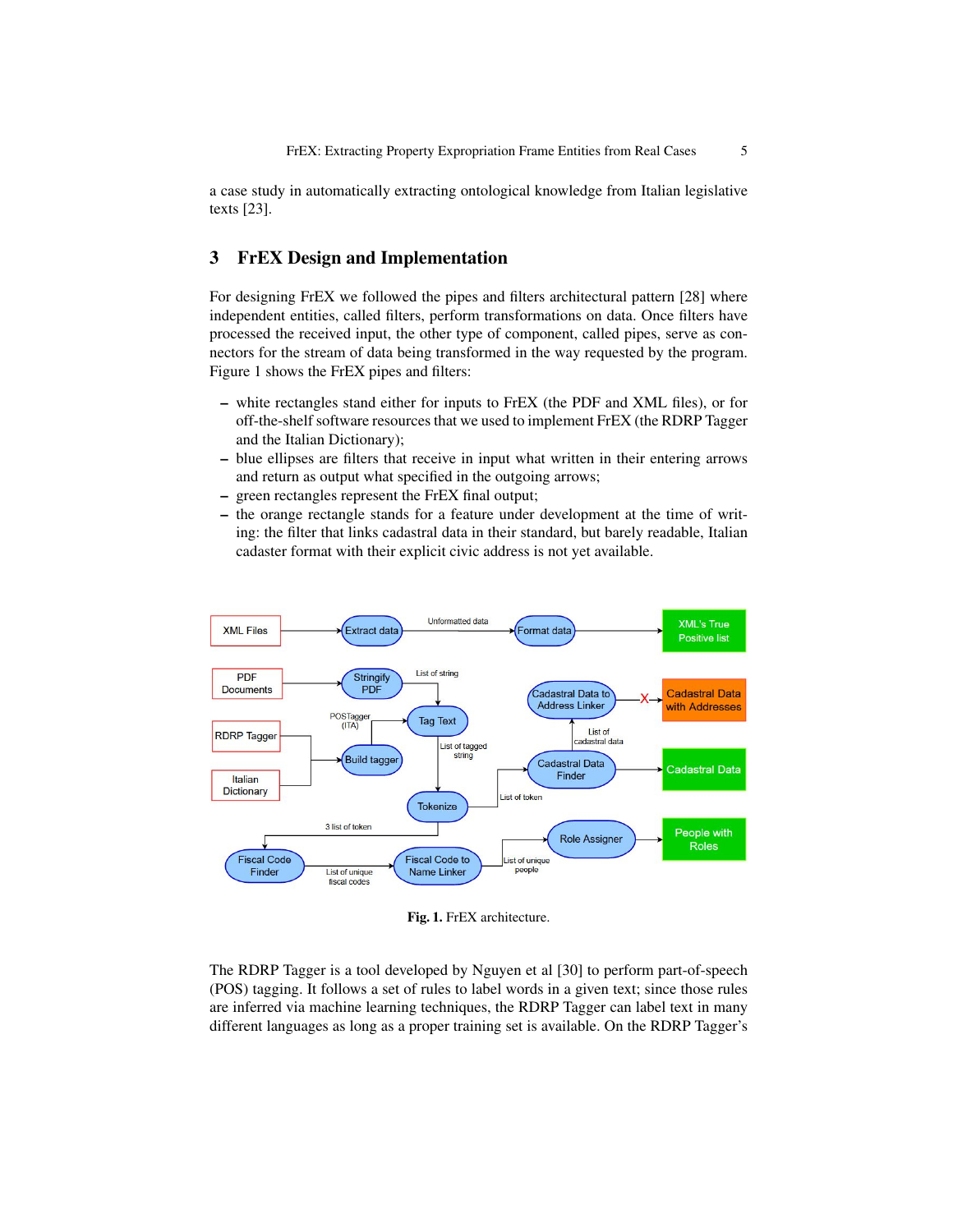a case study in automatically extracting ontological knowledge from Italian legislative texts [23].

### 3 FrEX Design and Implementation

For designing FrEX we followed the pipes and filters architectural pattern [28] where independent entities, called filters, perform transformations on data. Once filters have processed the received input, the other type of component, called pipes, serve as connectors for the stream of data being transformed in the way requested by the program. Figure 1 shows the FrEX pipes and filters:

- white rectangles stand either for inputs to FrEX (the PDF and XML files), or for off-the-shelf software resources that we used to implement FrEX (the RDRP Tagger and the Italian Dictionary);
- blue ellipses are filters that receive in input what written in their entering arrows and return as output what specified in the outgoing arrows;
- green rectangles represent the FrEX final output;
- the orange rectangle stands for a feature under development at the time of writing: the filter that links cadastral data in their standard, but barely readable, Italian cadaster format with their explicit civic address is not yet available.



Fig. 1. FrEX architecture.

The RDRP Tagger is a tool developed by Nguyen et al [30] to perform part-of-speech (POS) tagging. It follows a set of rules to label words in a given text; since those rules are inferred via machine learning techniques, the RDRP Tagger can label text in many different languages as long as a proper training set is available. On the RDRP Tagger's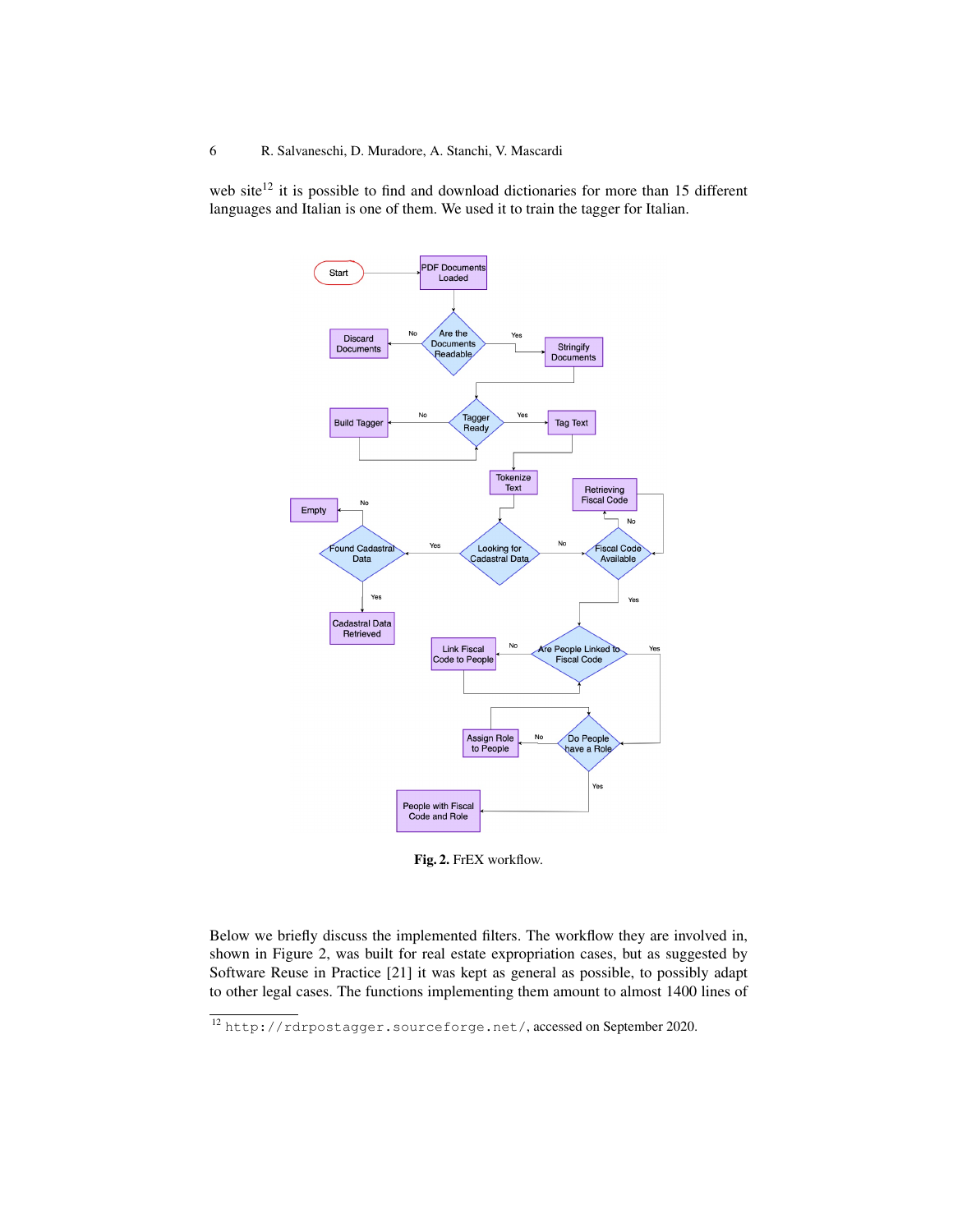web site<sup>12</sup> it is possible to find and download dictionaries for more than 15 different languages and Italian is one of them. We used it to train the tagger for Italian.



Fig. 2. FrEX workflow.

Below we briefly discuss the implemented filters. The workflow they are involved in, shown in Figure 2, was built for real estate expropriation cases, but as suggested by Software Reuse in Practice [21] it was kept as general as possible, to possibly adapt to other legal cases. The functions implementing them amount to almost 1400 lines of

<sup>12</sup> http://rdrpostagger.sourceforge.net/, accessed on September 2020.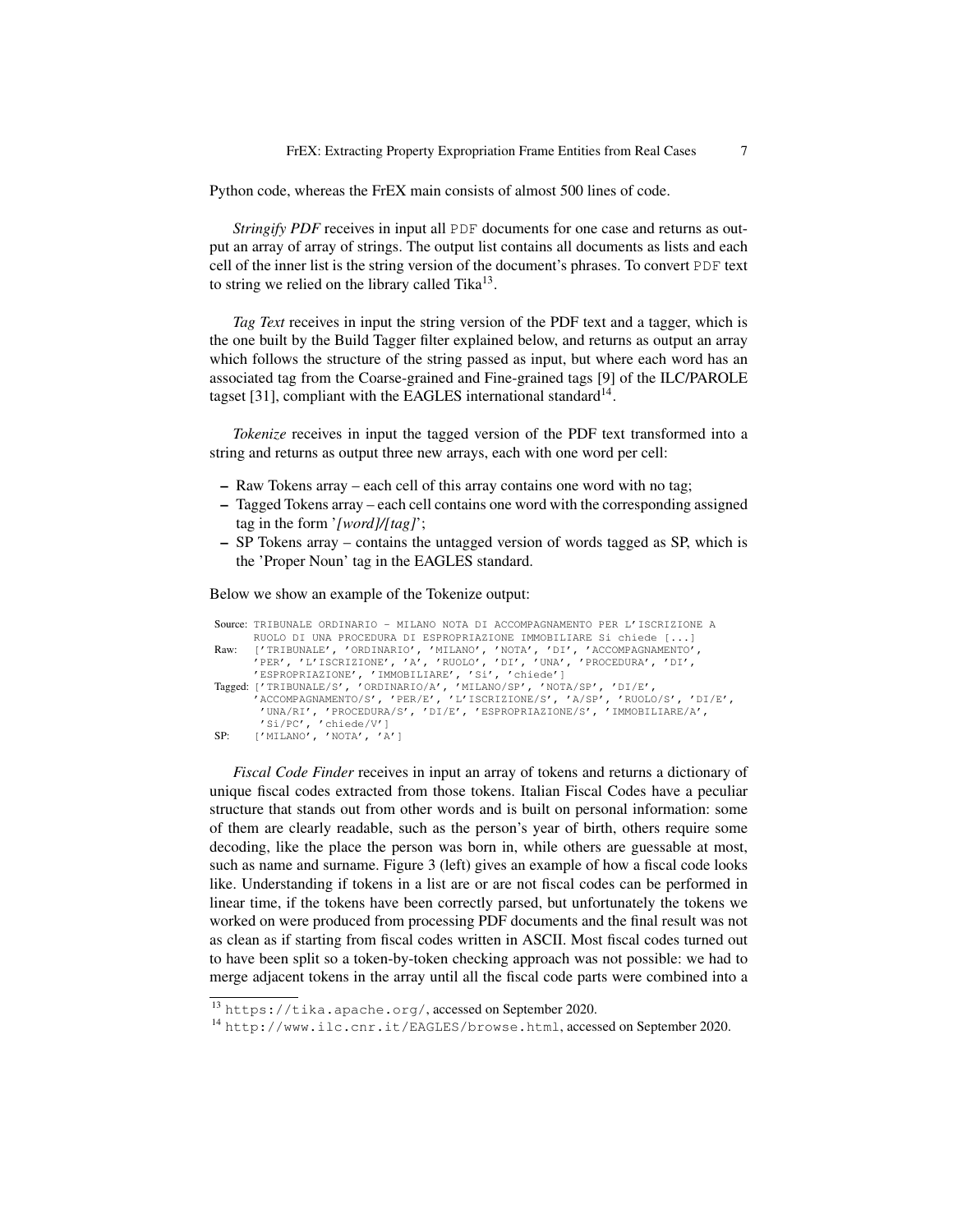Python code, whereas the FrEX main consists of almost 500 lines of code.

*Stringify PDF* receives in input all PDF documents for one case and returns as output an array of array of strings. The output list contains all documents as lists and each cell of the inner list is the string version of the document's phrases. To convert PDF text to string we relied on the library called Tika $^{13}$ .

*Tag Text* receives in input the string version of the PDF text and a tagger, which is the one built by the Build Tagger filter explained below, and returns as output an array which follows the structure of the string passed as input, but where each word has an associated tag from the Coarse-grained and Fine-grained tags [9] of the ILC/PAROLE tagset [31], compliant with the EAGLES international standard $^{14}$ .

*Tokenize* receives in input the tagged version of the PDF text transformed into a string and returns as output three new arrays, each with one word per cell:

- Raw Tokens array each cell of this array contains one word with no tag;
- Tagged Tokens array each cell contains one word with the corresponding assigned tag in the form '*[word]/[tag]*';
- SP Tokens array contains the untagged version of words tagged as SP, which is the 'Proper Noun' tag in the EAGLES standard.

Below we show an example of the Tokenize output:

```
Source: TRIBUNALE ORDINARIO - MILANO NOTA DI ACCOMPAGNAMENTO PER L'ISCRIZIONE A
          RUOLO DI UNA PROCEDURA DI ESPROPRIAZIONE IMMOBILIARE Si chiede [...]
Raw: ['TRIBUNALE', 'ORDINARIO', 'MILANO', 'NOTA', 'DI', 'ACCOMPAGNAMENTO',
'PER', 'L'ISCRIZIONE', 'A', 'RUOLO', 'DI', 'UNA', 'PROCEDURA', 'DI',
          'ESPROPRIAZIONE', 'IMMOBILIARE', 'Si', 'chiede']
Tagged: ['TRIBUNALE/S', 'ORDINARIO/A', 'MILANO/SP', 'NOTA/SP', 'DI/E',<br>'ACCOMPAGNAMENTO/S', 'PER/E', 'L'ISCRIZIONE/S', 'A/SP', 'RUOLO/S', 'DI/E',<br>'UNA/RI', 'PROCEDURA/S', 'DI/E', 'ESPROPRIAZIONE/S', 'IMMOBILIARE/A',<br>'Si/PC
```
*Fiscal Code Finder* receives in input an array of tokens and returns a dictionary of unique fiscal codes extracted from those tokens. Italian Fiscal Codes have a peculiar structure that stands out from other words and is built on personal information: some of them are clearly readable, such as the person's year of birth, others require some decoding, like the place the person was born in, while others are guessable at most, such as name and surname. Figure 3 (left) gives an example of how a fiscal code looks like. Understanding if tokens in a list are or are not fiscal codes can be performed in linear time, if the tokens have been correctly parsed, but unfortunately the tokens we worked on were produced from processing PDF documents and the final result was not as clean as if starting from fiscal codes written in ASCII. Most fiscal codes turned out to have been split so a token-by-token checking approach was not possible: we had to merge adjacent tokens in the array until all the fiscal code parts were combined into a

<sup>13</sup> https://tika.apache.org/, accessed on September 2020.

<sup>14</sup> http://www.ilc.cnr.it/EAGLES/browse.html, accessed on September 2020.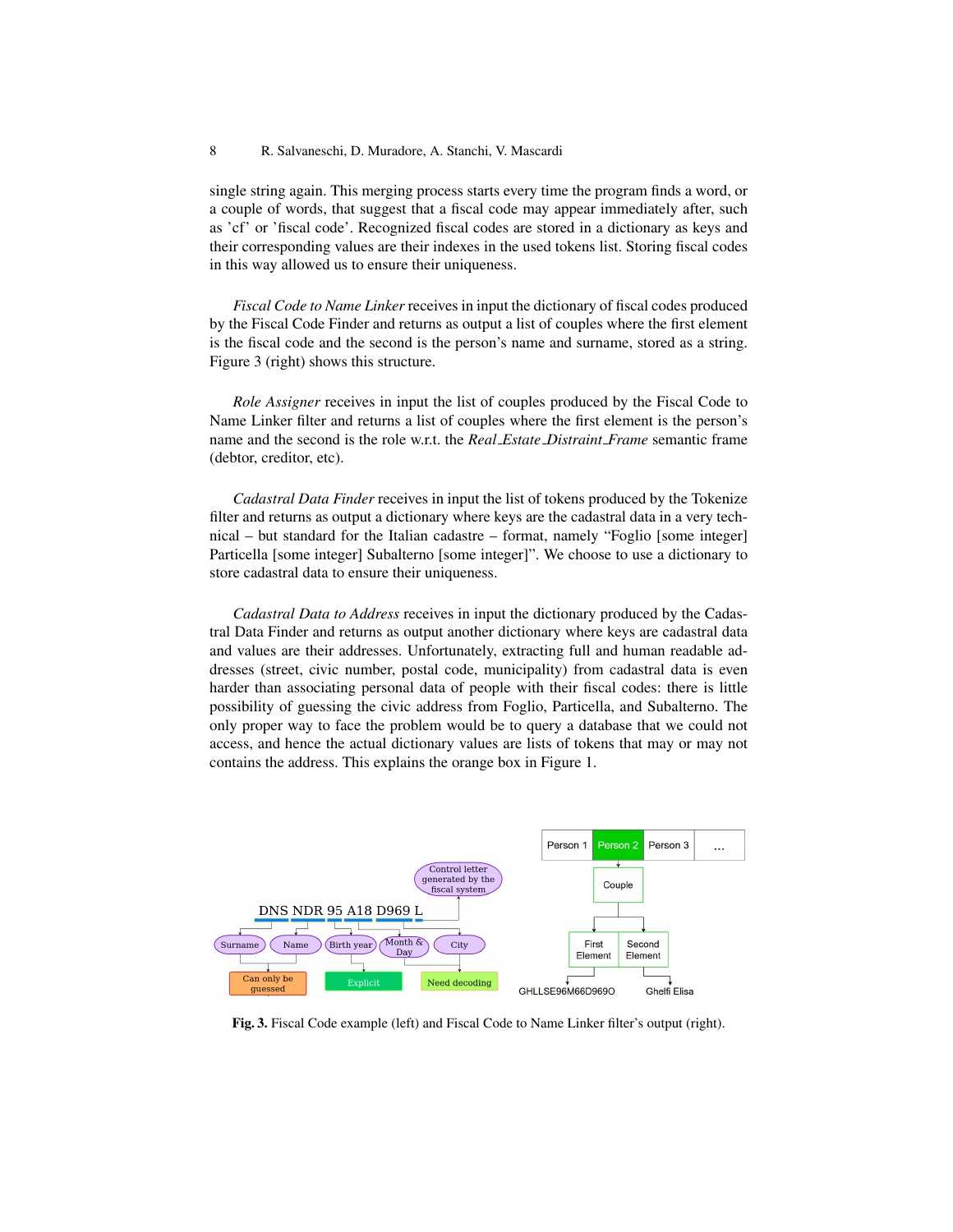single string again. This merging process starts every time the program finds a word, or a couple of words, that suggest that a fiscal code may appear immediately after, such as 'cf' or 'fiscal code'. Recognized fiscal codes are stored in a dictionary as keys and their corresponding values are their indexes in the used tokens list. Storing fiscal codes in this way allowed us to ensure their uniqueness.

*Fiscal Code to Name Linker* receives in input the dictionary of fiscal codes produced by the Fiscal Code Finder and returns as output a list of couples where the first element is the fiscal code and the second is the person's name and surname, stored as a string. Figure 3 (right) shows this structure.

*Role Assigner* receives in input the list of couples produced by the Fiscal Code to Name Linker filter and returns a list of couples where the first element is the person's name and the second is the role w.r.t. the *Real Estate Distraint Frame* semantic frame (debtor, creditor, etc).

*Cadastral Data Finder* receives in input the list of tokens produced by the Tokenize filter and returns as output a dictionary where keys are the cadastral data in a very technical – but standard for the Italian cadastre – format, namely "Foglio [some integer] Particella [some integer] Subalterno [some integer]". We choose to use a dictionary to store cadastral data to ensure their uniqueness.

*Cadastral Data to Address* receives in input the dictionary produced by the Cadastral Data Finder and returns as output another dictionary where keys are cadastral data and values are their addresses. Unfortunately, extracting full and human readable addresses (street, civic number, postal code, municipality) from cadastral data is even harder than associating personal data of people with their fiscal codes: there is little possibility of guessing the civic address from Foglio, Particella, and Subalterno. The only proper way to face the problem would be to query a database that we could not access, and hence the actual dictionary values are lists of tokens that may or may not contains the address. This explains the orange box in Figure 1.



Fig. 3. Fiscal Code example (left) and Fiscal Code to Name Linker filter's output (right).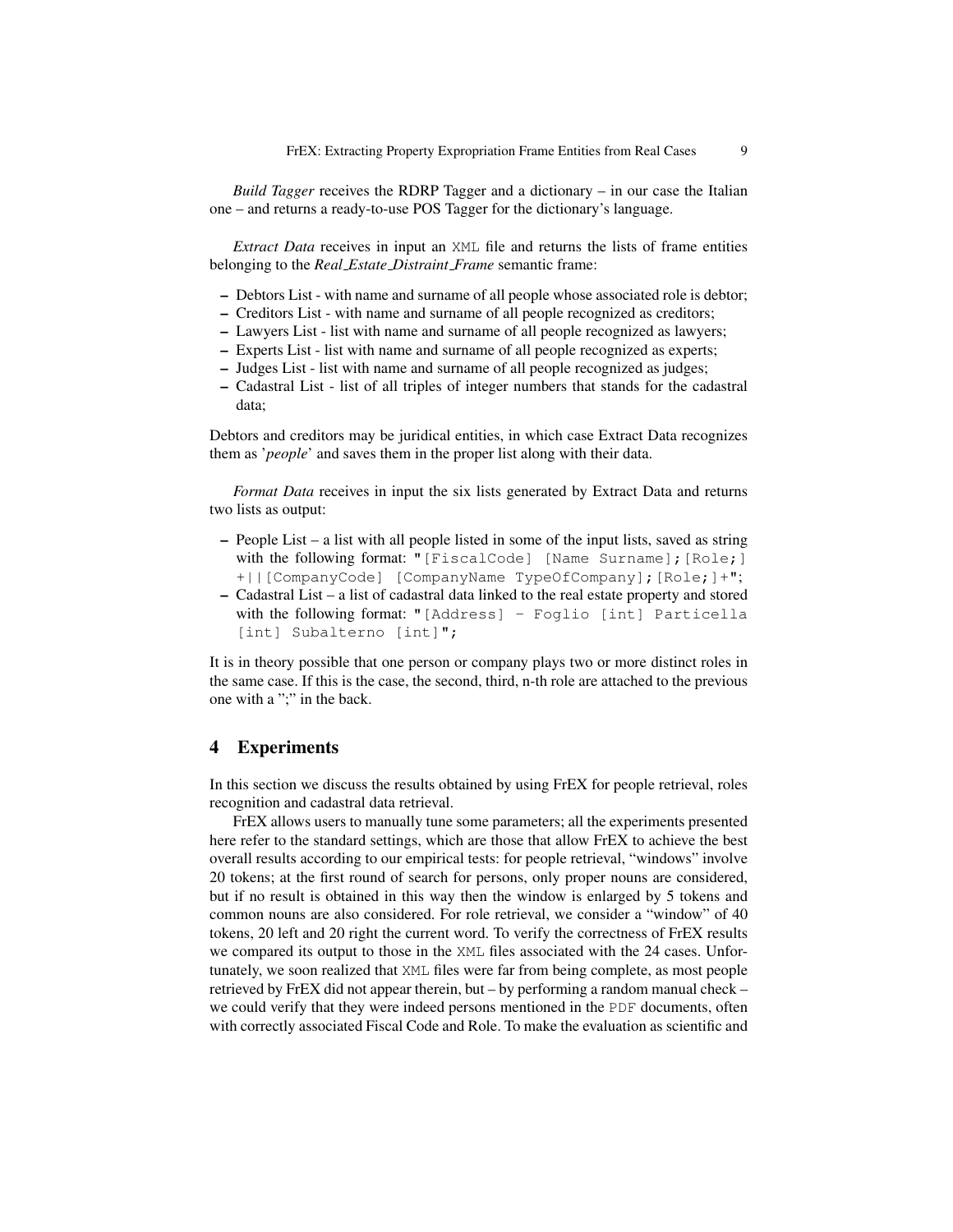*Build Tagger* receives the RDRP Tagger and a dictionary – in our case the Italian one – and returns a ready-to-use POS Tagger for the dictionary's language.

*Extract Data* receives in input an XML file and returns the lists of frame entities belonging to the *Real Estate Distraint Frame* semantic frame:

- Debtors List with name and surname of all people whose associated role is debtor;
- Creditors List with name and surname of all people recognized as creditors;
- Lawyers List list with name and surname of all people recognized as lawyers;
- Experts List list with name and surname of all people recognized as experts;
- Judges List list with name and surname of all people recognized as judges;
- Cadastral List list of all triples of integer numbers that stands for the cadastral data;

Debtors and creditors may be juridical entities, in which case Extract Data recognizes them as '*people*' and saves them in the proper list along with their data.

*Format Data* receives in input the six lists generated by Extract Data and returns two lists as output:

- People List a list with all people listed in some of the input lists, saved as string with the following format: "[FiscalCode] [Name Surname]; [Role;] +||[CompanyCode] [CompanyName TypeOfCompany];[Role;]+";
- Cadastral List a list of cadastral data linked to the real estate property and stored with the following format: "[Address] - Foglio [int] Particella [int] Subalterno [int]";

It is in theory possible that one person or company plays two or more distinct roles in the same case. If this is the case, the second, third, n-th role are attached to the previous one with a ";" in the back.

#### 4 Experiments

In this section we discuss the results obtained by using FrEX for people retrieval, roles recognition and cadastral data retrieval.

FrEX allows users to manually tune some parameters; all the experiments presented here refer to the standard settings, which are those that allow FrEX to achieve the best overall results according to our empirical tests: for people retrieval, "windows" involve 20 tokens; at the first round of search for persons, only proper nouns are considered, but if no result is obtained in this way then the window is enlarged by 5 tokens and common nouns are also considered. For role retrieval, we consider a "window" of 40 tokens, 20 left and 20 right the current word. To verify the correctness of FrEX results we compared its output to those in the XML files associated with the 24 cases. Unfortunately, we soon realized that XML files were far from being complete, as most people retrieved by FrEX did not appear therein, but – by performing a random manual check – we could verify that they were indeed persons mentioned in the PDF documents, often with correctly associated Fiscal Code and Role. To make the evaluation as scientific and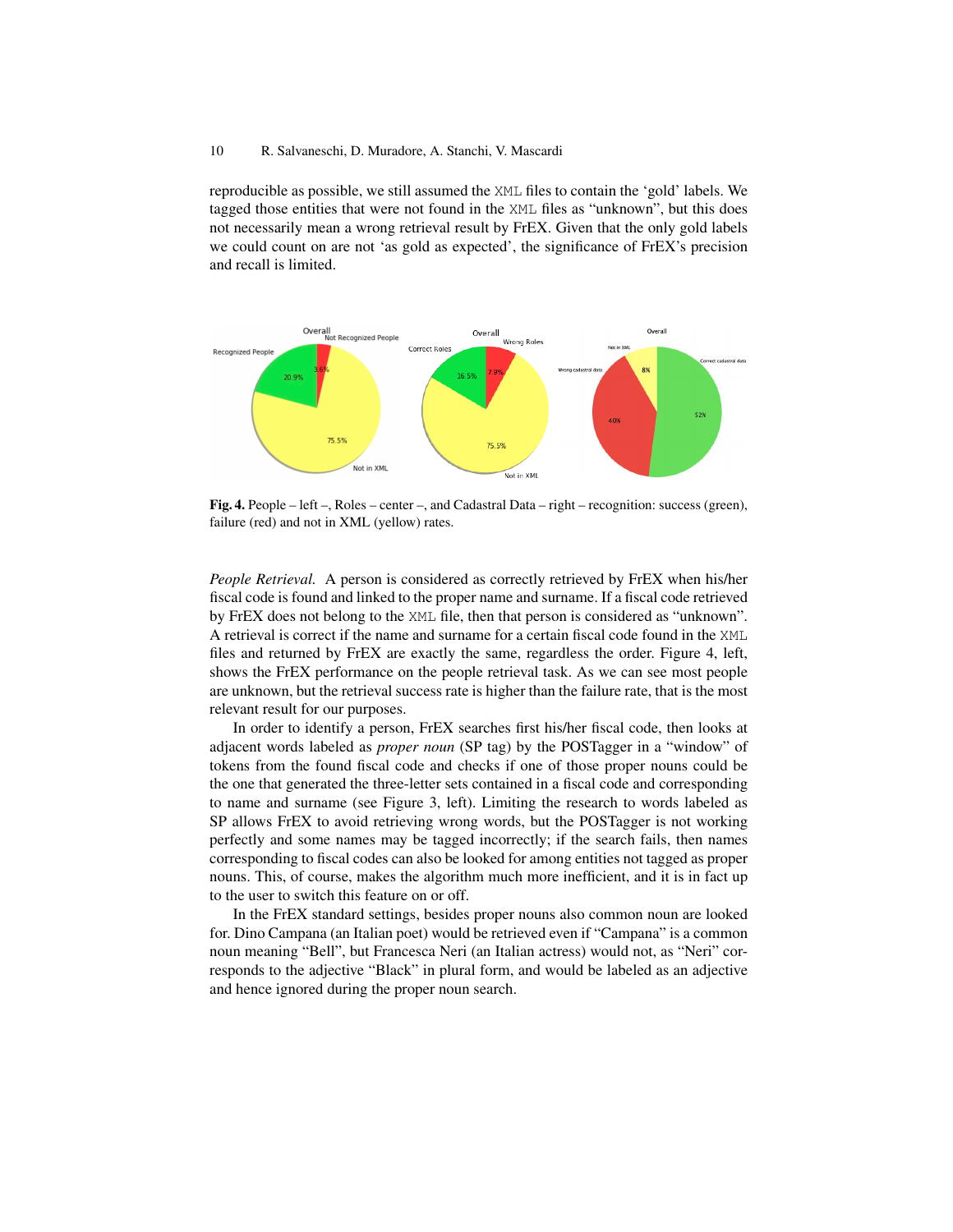#### 10 R. Salvaneschi, D. Muradore, A. Stanchi, V. Mascardi

reproducible as possible, we still assumed the XML files to contain the 'gold' labels. We tagged those entities that were not found in the XML files as "unknown", but this does not necessarily mean a wrong retrieval result by FrEX. Given that the only gold labels we could count on are not 'as gold as expected', the significance of FrEX's precision and recall is limited.



Fig. 4. People – left –, Roles – center –, and Cadastral Data – right – recognition: success (green), failure (red) and not in XML (yellow) rates.

*People Retrieval.* A person is considered as correctly retrieved by FrEX when his/her fiscal code is found and linked to the proper name and surname. If a fiscal code retrieved by FrEX does not belong to the XML file, then that person is considered as "unknown". A retrieval is correct if the name and surname for a certain fiscal code found in the XML files and returned by FrEX are exactly the same, regardless the order. Figure 4, left, shows the FrEX performance on the people retrieval task. As we can see most people are unknown, but the retrieval success rate is higher than the failure rate, that is the most relevant result for our purposes.

In order to identify a person, FrEX searches first his/her fiscal code, then looks at adjacent words labeled as *proper noun* (SP tag) by the POSTagger in a "window" of tokens from the found fiscal code and checks if one of those proper nouns could be the one that generated the three-letter sets contained in a fiscal code and corresponding to name and surname (see Figure 3, left). Limiting the research to words labeled as SP allows FrEX to avoid retrieving wrong words, but the POSTagger is not working perfectly and some names may be tagged incorrectly; if the search fails, then names corresponding to fiscal codes can also be looked for among entities not tagged as proper nouns. This, of course, makes the algorithm much more inefficient, and it is in fact up to the user to switch this feature on or off.

In the FrEX standard settings, besides proper nouns also common noun are looked for. Dino Campana (an Italian poet) would be retrieved even if "Campana" is a common noun meaning "Bell", but Francesca Neri (an Italian actress) would not, as "Neri" corresponds to the adjective "Black" in plural form, and would be labeled as an adjective and hence ignored during the proper noun search.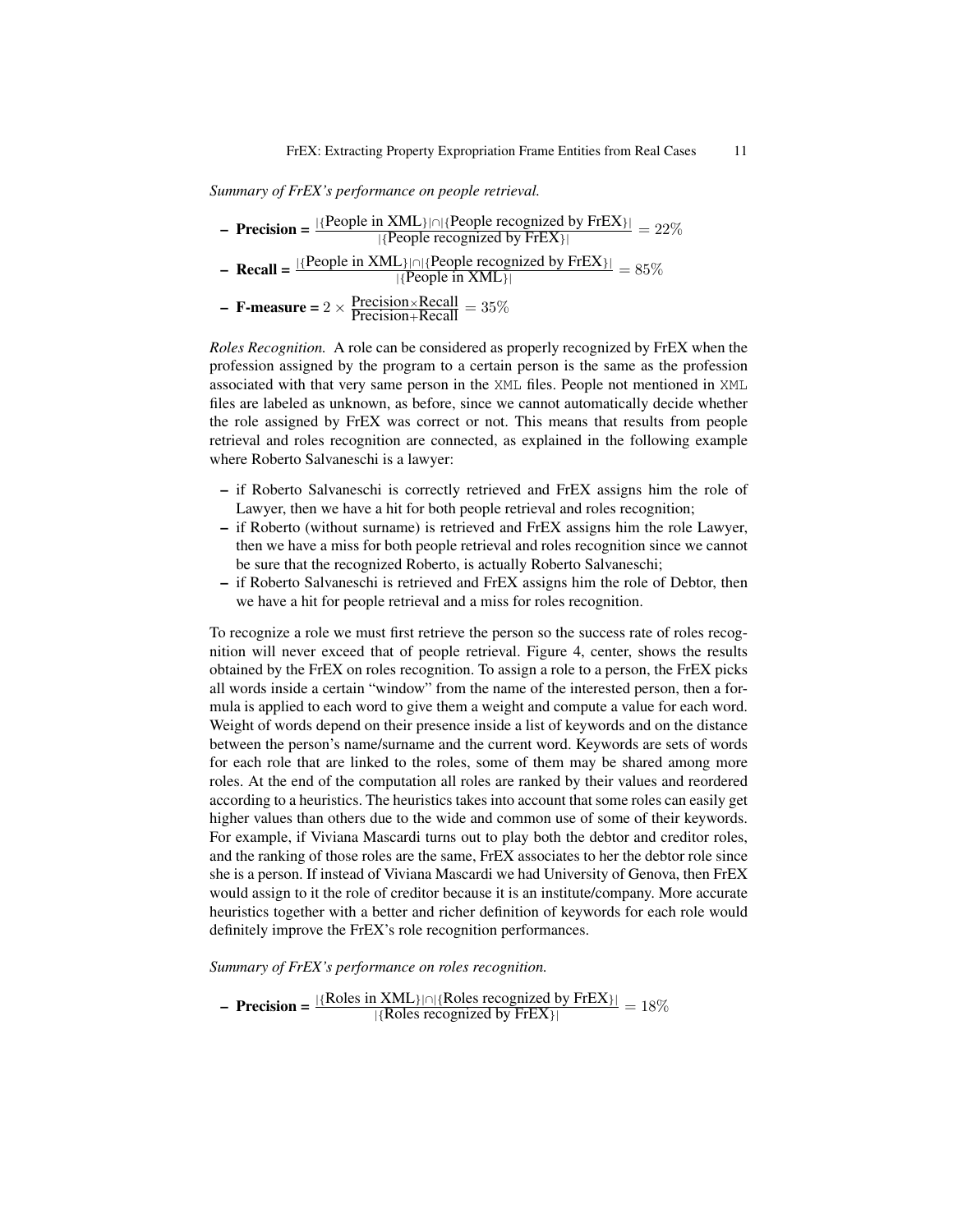*Summary of FrEX's performance on people retrieval.*

| <b>- Precision =</b> $\frac{ \{People \text{ in } XML\}  \cap  \{People \text{ recognized by } FrEX\} }{ \{People \text{ recognized by } FrEX\} } = 22\%$ |
|-----------------------------------------------------------------------------------------------------------------------------------------------------------|
| - <b>Recall</b> = $\frac{ \{People \text{ in XML}\} \cap  \{People \text{ recognize } by \text{ FrEX}\} }{ \{People \text{ in XML}\} } = 85\%$            |
| - <b>F-measure =</b> $2 \times \frac{\text{Precision} \times \text{Recall}}{\text{Precision} + \text{Recall}} = 35\%$                                     |

*Roles Recognition.* A role can be considered as properly recognized by FrEX when the profession assigned by the program to a certain person is the same as the profession associated with that very same person in the XML files. People not mentioned in XML files are labeled as unknown, as before, since we cannot automatically decide whether the role assigned by FrEX was correct or not. This means that results from people retrieval and roles recognition are connected, as explained in the following example where Roberto Salvaneschi is a lawyer:

- if Roberto Salvaneschi is correctly retrieved and FrEX assigns him the role of Lawyer, then we have a hit for both people retrieval and roles recognition;
- if Roberto (without surname) is retrieved and FrEX assigns him the role Lawyer, then we have a miss for both people retrieval and roles recognition since we cannot be sure that the recognized Roberto, is actually Roberto Salvaneschi;
- if Roberto Salvaneschi is retrieved and FrEX assigns him the role of Debtor, then we have a hit for people retrieval and a miss for roles recognition.

To recognize a role we must first retrieve the person so the success rate of roles recognition will never exceed that of people retrieval. Figure 4, center, shows the results obtained by the FrEX on roles recognition. To assign a role to a person, the FrEX picks all words inside a certain "window" from the name of the interested person, then a formula is applied to each word to give them a weight and compute a value for each word. Weight of words depend on their presence inside a list of keywords and on the distance between the person's name/surname and the current word. Keywords are sets of words for each role that are linked to the roles, some of them may be shared among more roles. At the end of the computation all roles are ranked by their values and reordered according to a heuristics. The heuristics takes into account that some roles can easily get higher values than others due to the wide and common use of some of their keywords. For example, if Viviana Mascardi turns out to play both the debtor and creditor roles, and the ranking of those roles are the same, FrEX associates to her the debtor role since she is a person. If instead of Viviana Mascardi we had University of Genova, then FrEX would assign to it the role of creditor because it is an institute/company. More accurate heuristics together with a better and richer definition of keywords for each role would definitely improve the FrEX's role recognition performances.

*Summary of FrEX's performance on roles recognition.*

**- Precision** =  $\frac{|\{\text{Roles in XML}\}\cap \{\text{Roles recognized by FrEX}\}\|}{|\{\text{Roles recognized by FrEX}\}\|} = 18\%$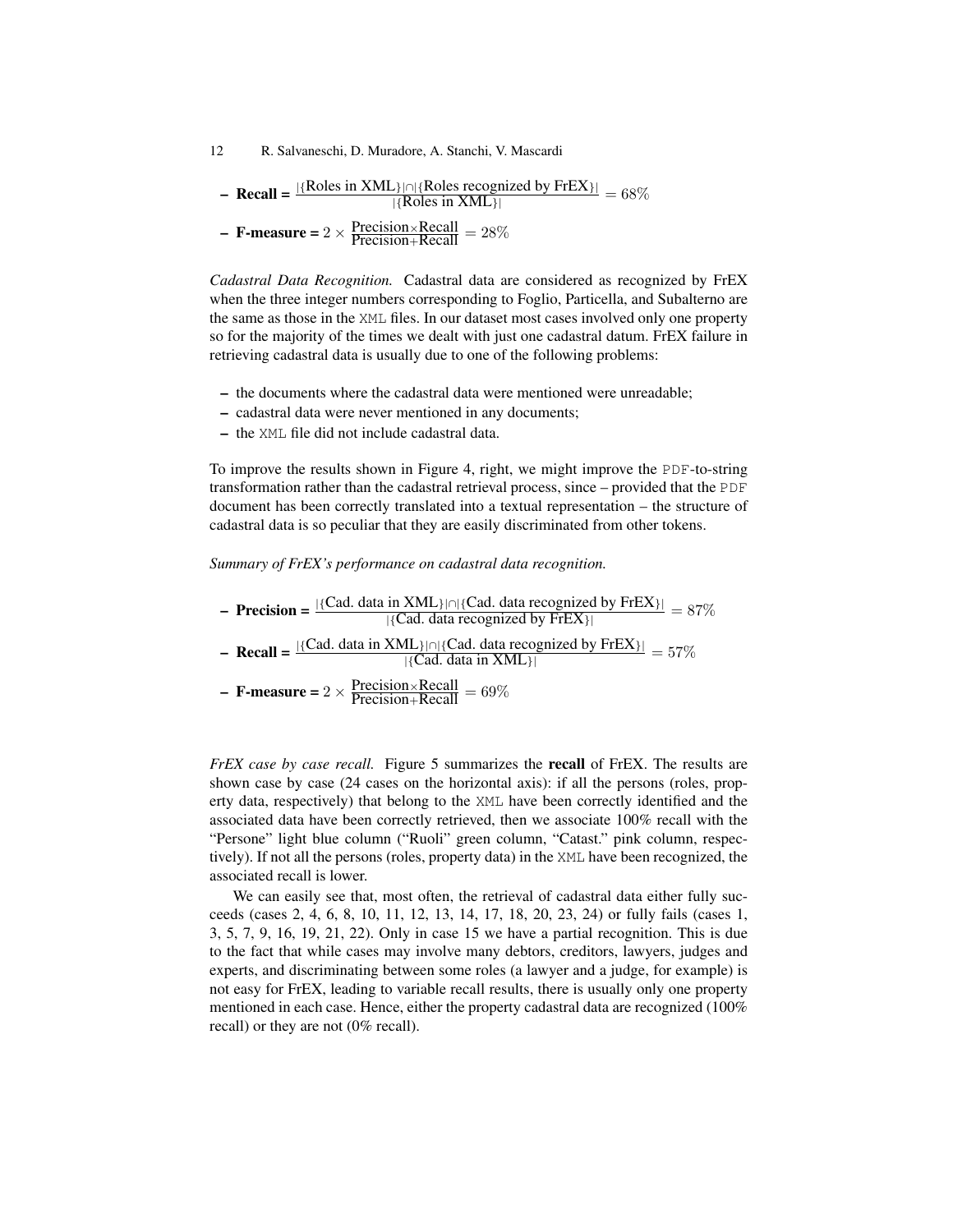12 R. Salvaneschi, D. Muradore, A. Stanchi, V. Mascardi

– Recall =  $\frac{|\{\text{Roles in XML}\}\cap {\{\text{Roles in XML}\}\}}{|\{\text{Roles in XML}\}\}}$  = 68%

- **F-measure** =  $2 \times \frac{\text{Precision} \times \text{Recall}}{\text{Precision} + \text{Recall}} = 28\%$ 

*Cadastral Data Recognition.* Cadastral data are considered as recognized by FrEX when the three integer numbers corresponding to Foglio, Particella, and Subalterno are the same as those in the XML files. In our dataset most cases involved only one property so for the majority of the times we dealt with just one cadastral datum. FrEX failure in retrieving cadastral data is usually due to one of the following problems:

- the documents where the cadastral data were mentioned were unreadable;
- cadastral data were never mentioned in any documents;
- the XML file did not include cadastral data.

To improve the results shown in Figure 4, right, we might improve the PDF-to-string transformation rather than the cadastral retrieval process, since – provided that the PDF document has been correctly translated into a textual representation – the structure of cadastral data is so peculiar that they are easily discriminated from other tokens.

*Summary of FrEX's performance on cadastral data recognition.*

- Precision = 
$$
\frac{|\{Cad. data in XML\}| \cap |\{Cad. data recognized by FrEX\}|}{|\{Cad. data recognized by FrEX\}|} = 87\%
$$

– Recall =  $\frac{|\{Cad. data in XML\}|}{|\{Cad. data in XML\}|}$  = 57%

- **F-measure** = 
$$
2 \times \frac{\text{Precision} \times \text{Recall}}{\text{Precision} + \text{Recall}} = 69\%
$$

*FrEX case by case recall.* Figure 5 summarizes the **recall** of FrEX. The results are shown case by case (24 cases on the horizontal axis): if all the persons (roles, property data, respectively) that belong to the XML have been correctly identified and the associated data have been correctly retrieved, then we associate 100% recall with the "Persone" light blue column ("Ruoli" green column, "Catast." pink column, respectively). If not all the persons (roles, property data) in the XML have been recognized, the associated recall is lower.

We can easily see that, most often, the retrieval of cadastral data either fully succeeds (cases 2, 4, 6, 8, 10, 11, 12, 13, 14, 17, 18, 20, 23, 24) or fully fails (cases 1, 3, 5, 7, 9, 16, 19, 21, 22). Only in case 15 we have a partial recognition. This is due to the fact that while cases may involve many debtors, creditors, lawyers, judges and experts, and discriminating between some roles (a lawyer and a judge, for example) is not easy for FrEX, leading to variable recall results, there is usually only one property mentioned in each case. Hence, either the property cadastral data are recognized (100% recall) or they are not (0% recall).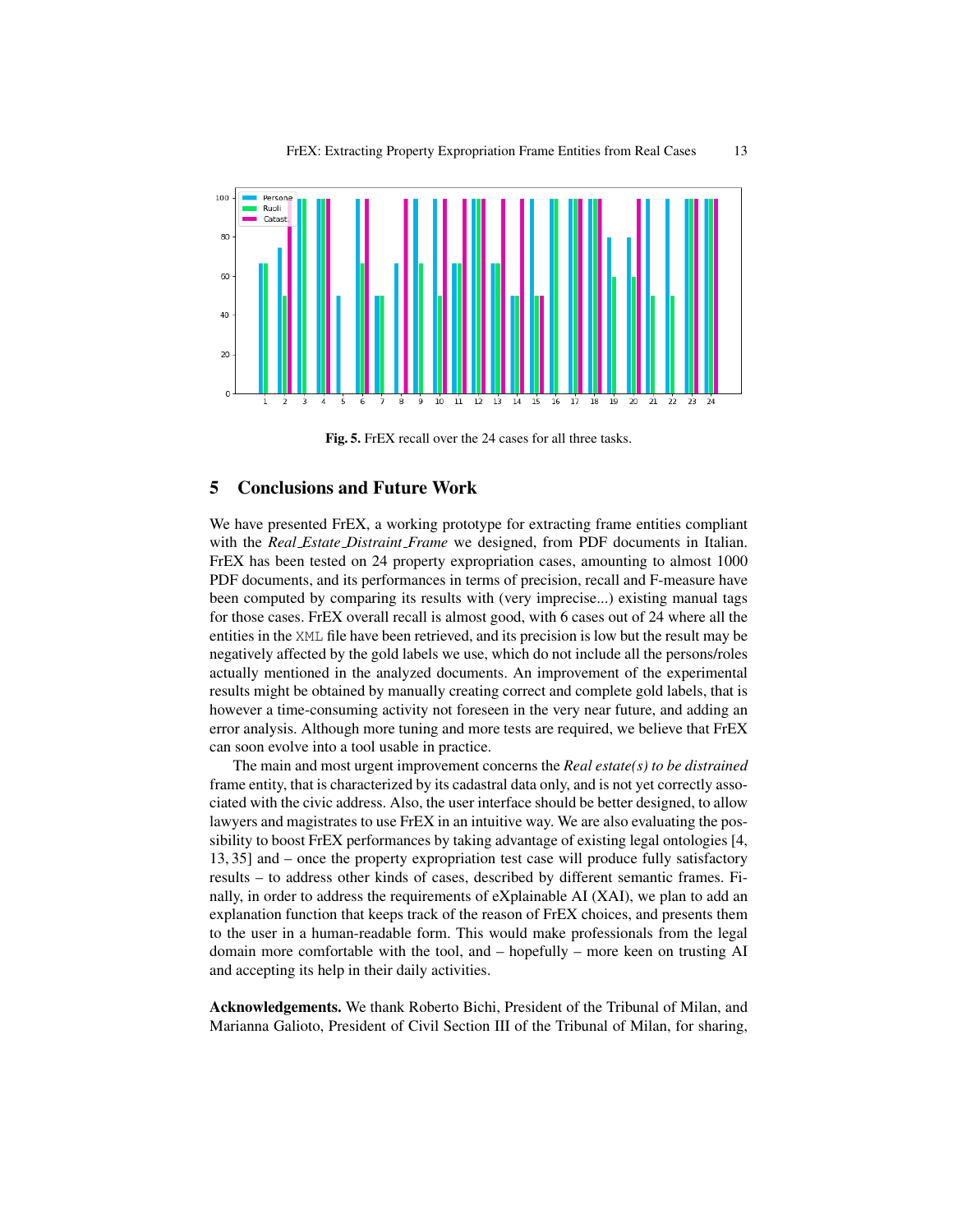

Fig. 5. FrEX recall over the 24 cases for all three tasks.

## 5 Conclusions and Future Work

We have presented FrEX, a working prototype for extracting frame entities compliant with the *Real Estate Distraint Frame* we designed, from PDF documents in Italian. FrEX has been tested on 24 property expropriation cases, amounting to almost 1000 PDF documents, and its performances in terms of precision, recall and F-measure have been computed by comparing its results with (very imprecise...) existing manual tags for those cases. FrEX overall recall is almost good, with 6 cases out of 24 where all the entities in the XML file have been retrieved, and its precision is low but the result may be negatively affected by the gold labels we use, which do not include all the persons/roles actually mentioned in the analyzed documents. An improvement of the experimental results might be obtained by manually creating correct and complete gold labels, that is however a time-consuming activity not foreseen in the very near future, and adding an error analysis. Although more tuning and more tests are required, we believe that FrEX can soon evolve into a tool usable in practice.

The main and most urgent improvement concerns the *Real estate(s) to be distrained* frame entity, that is characterized by its cadastral data only, and is not yet correctly associated with the civic address. Also, the user interface should be better designed, to allow lawyers and magistrates to use FrEX in an intuitive way. We are also evaluating the possibility to boost FrEX performances by taking advantage of existing legal ontologies [4, 13, 35] and – once the property expropriation test case will produce fully satisfactory results – to address other kinds of cases, described by different semantic frames. Finally, in order to address the requirements of eXplainable AI (XAI), we plan to add an explanation function that keeps track of the reason of FrEX choices, and presents them to the user in a human-readable form. This would make professionals from the legal domain more comfortable with the tool, and – hopefully – more keen on trusting AI and accepting its help in their daily activities.

Acknowledgements. We thank Roberto Bichi, President of the Tribunal of Milan, and Marianna Galioto, President of Civil Section III of the Tribunal of Milan, for sharing,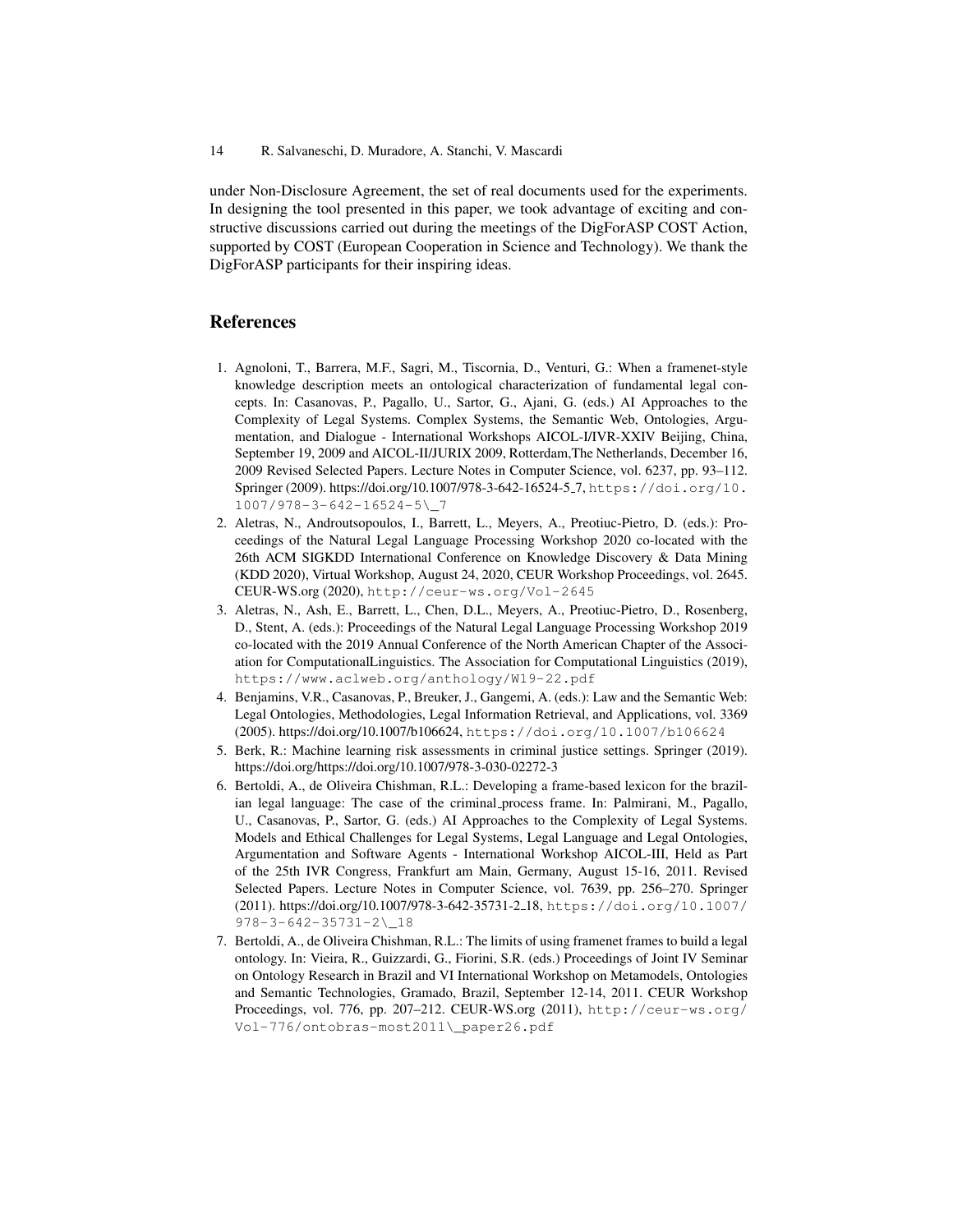under Non-Disclosure Agreement, the set of real documents used for the experiments. In designing the tool presented in this paper, we took advantage of exciting and constructive discussions carried out during the meetings of the DigForASP COST Action, supported by COST (European Cooperation in Science and Technology). We thank the DigForASP participants for their inspiring ideas.

#### References

- 1. Agnoloni, T., Barrera, M.F., Sagri, M., Tiscornia, D., Venturi, G.: When a framenet-style knowledge description meets an ontological characterization of fundamental legal concepts. In: Casanovas, P., Pagallo, U., Sartor, G., Ajani, G. (eds.) AI Approaches to the Complexity of Legal Systems. Complex Systems, the Semantic Web, Ontologies, Argumentation, and Dialogue - International Workshops AICOL-I/IVR-XXIV Beijing, China, September 19, 2009 and AICOL-II/JURIX 2009, Rotterdam,The Netherlands, December 16, 2009 Revised Selected Papers. Lecture Notes in Computer Science, vol. 6237, pp. 93–112. Springer (2009). https://doi.org/10.1007/978-3-642-16524-5 7, https://doi.org/10. 1007/978-3-642-16524-5\\_7
- 2. Aletras, N., Androutsopoulos, I., Barrett, L., Meyers, A., Preotiuc-Pietro, D. (eds.): Proceedings of the Natural Legal Language Processing Workshop 2020 co-located with the 26th ACM SIGKDD International Conference on Knowledge Discovery & Data Mining (KDD 2020), Virtual Workshop, August 24, 2020, CEUR Workshop Proceedings, vol. 2645. CEUR-WS.org (2020), http://ceur-ws.org/Vol-2645
- 3. Aletras, N., Ash, E., Barrett, L., Chen, D.L., Meyers, A., Preotiuc-Pietro, D., Rosenberg, D., Stent, A. (eds.): Proceedings of the Natural Legal Language Processing Workshop 2019 co-located with the 2019 Annual Conference of the North American Chapter of the Association for ComputationalLinguistics. The Association for Computational Linguistics (2019), https://www.aclweb.org/anthology/W19-22.pdf
- 4. Benjamins, V.R., Casanovas, P., Breuker, J., Gangemi, A. (eds.): Law and the Semantic Web: Legal Ontologies, Methodologies, Legal Information Retrieval, and Applications, vol. 3369 (2005). https://doi.org/10.1007/b106624, https://doi.org/10.1007/b106624
- 5. Berk, R.: Machine learning risk assessments in criminal justice settings. Springer (2019). https://doi.org/https://doi.org/10.1007/978-3-030-02272-3
- 6. Bertoldi, A., de Oliveira Chishman, R.L.: Developing a frame-based lexicon for the brazilian legal language: The case of the criminal process frame. In: Palmirani, M., Pagallo, U., Casanovas, P., Sartor, G. (eds.) AI Approaches to the Complexity of Legal Systems. Models and Ethical Challenges for Legal Systems, Legal Language and Legal Ontologies, Argumentation and Software Agents - International Workshop AICOL-III, Held as Part of the 25th IVR Congress, Frankfurt am Main, Germany, August 15-16, 2011. Revised Selected Papers. Lecture Notes in Computer Science, vol. 7639, pp. 256–270. Springer (2011). https://doi.org/10.1007/978-3-642-35731-2 18, https://doi.org/10.1007/ 978-3-642-35731-2\\_18
- 7. Bertoldi, A., de Oliveira Chishman, R.L.: The limits of using framenet frames to build a legal ontology. In: Vieira, R., Guizzardi, G., Fiorini, S.R. (eds.) Proceedings of Joint IV Seminar on Ontology Research in Brazil and VI International Workshop on Metamodels, Ontologies and Semantic Technologies, Gramado, Brazil, September 12-14, 2011. CEUR Workshop Proceedings, vol. 776, pp. 207–212. CEUR-WS.org (2011), http://ceur-ws.org/ Vol-776/ontobras-most2011\\_paper26.pdf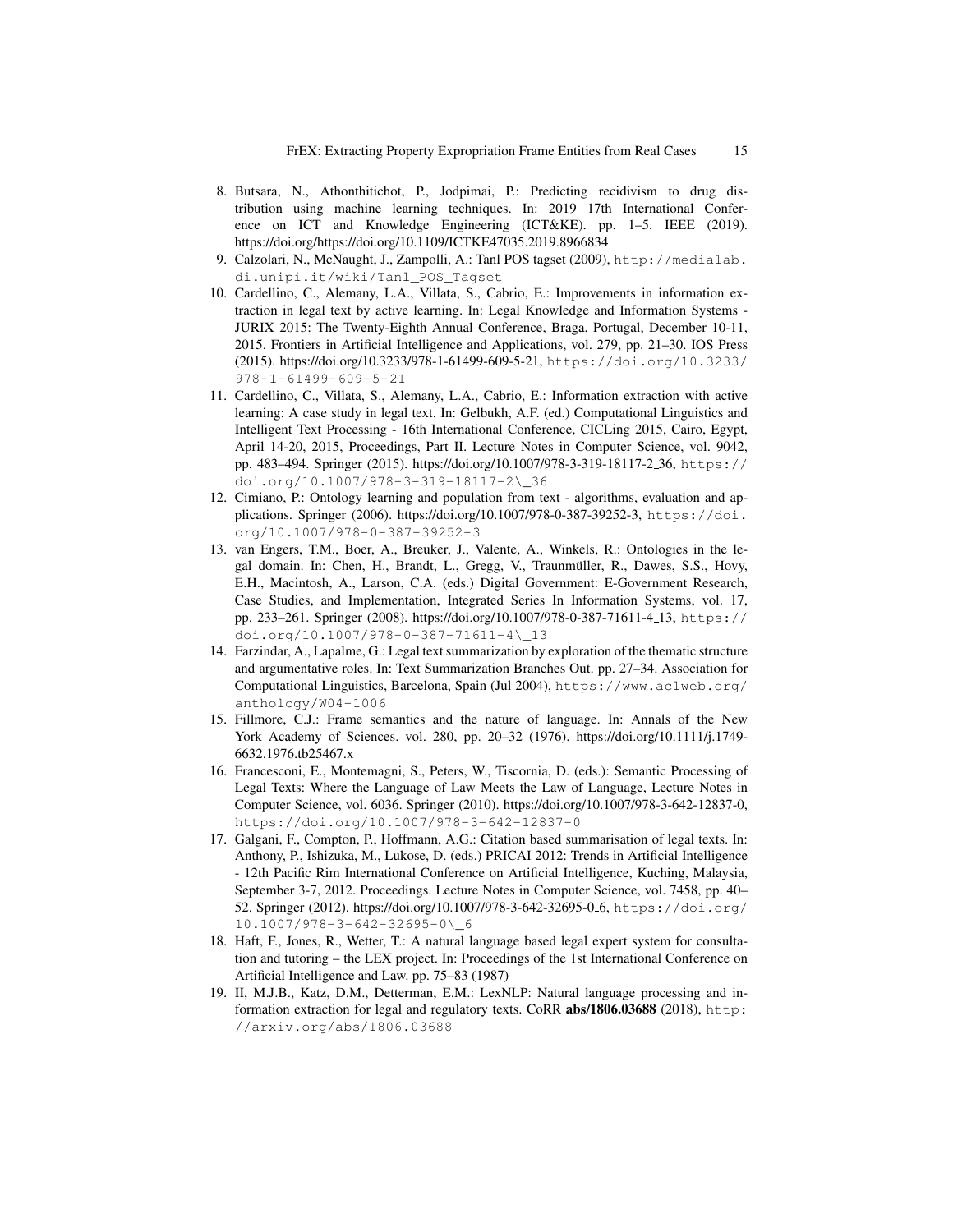- 8. Butsara, N., Athonthitichot, P., Jodpimai, P.: Predicting recidivism to drug distribution using machine learning techniques. In: 2019 17th International Conference on ICT and Knowledge Engineering (ICT&KE). pp. 1–5. IEEE (2019). https://doi.org/https://doi.org/10.1109/ICTKE47035.2019.8966834
- 9. Calzolari, N., McNaught, J., Zampolli, A.: Tanl POS tagset (2009), http://medialab. di.unipi.it/wiki/Tanl\_POS\_Tagset
- 10. Cardellino, C., Alemany, L.A., Villata, S., Cabrio, E.: Improvements in information extraction in legal text by active learning. In: Legal Knowledge and Information Systems - JURIX 2015: The Twenty-Eighth Annual Conference, Braga, Portugal, December 10-11, 2015. Frontiers in Artificial Intelligence and Applications, vol. 279, pp. 21–30. IOS Press (2015). https://doi.org/10.3233/978-1-61499-609-5-21, https://doi.org/10.3233/ 978-1-61499-609-5-21
- 11. Cardellino, C., Villata, S., Alemany, L.A., Cabrio, E.: Information extraction with active learning: A case study in legal text. In: Gelbukh, A.F. (ed.) Computational Linguistics and Intelligent Text Processing - 16th International Conference, CICLing 2015, Cairo, Egypt, April 14-20, 2015, Proceedings, Part II. Lecture Notes in Computer Science, vol. 9042, pp. 483–494. Springer (2015). https://doi.org/10.1007/978-3-319-18117-2 36, https:// doi.org/10.1007/978-3-319-18117-2\\_36
- 12. Cimiano, P.: Ontology learning and population from text algorithms, evaluation and applications. Springer (2006). https://doi.org/10.1007/978-0-387-39252-3, https://doi. org/10.1007/978-0-387-39252-3
- 13. van Engers, T.M., Boer, A., Breuker, J., Valente, A., Winkels, R.: Ontologies in the legal domain. In: Chen, H., Brandt, L., Gregg, V., Traunmüller, R., Dawes, S.S., Hovy, E.H., Macintosh, A., Larson, C.A. (eds.) Digital Government: E-Government Research, Case Studies, and Implementation, Integrated Series In Information Systems, vol. 17, pp. 233–261. Springer (2008). https://doi.org/10.1007/978-0-387-71611-4 13, https:// doi.org/10.1007/978-0-387-71611-4\\_13
- 14. Farzindar, A., Lapalme, G.: Legal text summarization by exploration of the thematic structure and argumentative roles. In: Text Summarization Branches Out. pp. 27–34. Association for Computational Linguistics, Barcelona, Spain (Jul 2004), https://www.aclweb.org/ anthology/W04-1006
- 15. Fillmore, C.J.: Frame semantics and the nature of language. In: Annals of the New York Academy of Sciences. vol. 280, pp. 20–32 (1976). https://doi.org/10.1111/j.1749- 6632.1976.tb25467.x
- 16. Francesconi, E., Montemagni, S., Peters, W., Tiscornia, D. (eds.): Semantic Processing of Legal Texts: Where the Language of Law Meets the Law of Language, Lecture Notes in Computer Science, vol. 6036. Springer (2010). https://doi.org/10.1007/978-3-642-12837-0, https://doi.org/10.1007/978-3-642-12837-0
- 17. Galgani, F., Compton, P., Hoffmann, A.G.: Citation based summarisation of legal texts. In: Anthony, P., Ishizuka, M., Lukose, D. (eds.) PRICAI 2012: Trends in Artificial Intelligence - 12th Pacific Rim International Conference on Artificial Intelligence, Kuching, Malaysia, September 3-7, 2012. Proceedings. Lecture Notes in Computer Science, vol. 7458, pp. 40– 52. Springer (2012). https://doi.org/10.1007/978-3-642-32695-0 6, https://doi.org/ 10.1007/978-3-642-32695-0\\_6
- 18. Haft, F., Jones, R., Wetter, T.: A natural language based legal expert system for consultation and tutoring – the LEX project. In: Proceedings of the 1st International Conference on Artificial Intelligence and Law. pp. 75–83 (1987)
- 19. II, M.J.B., Katz, D.M., Detterman, E.M.: LexNLP: Natural language processing and information extraction for legal and regulatory texts. CoRR abs/1806.03688 (2018), http: //arxiv.org/abs/1806.03688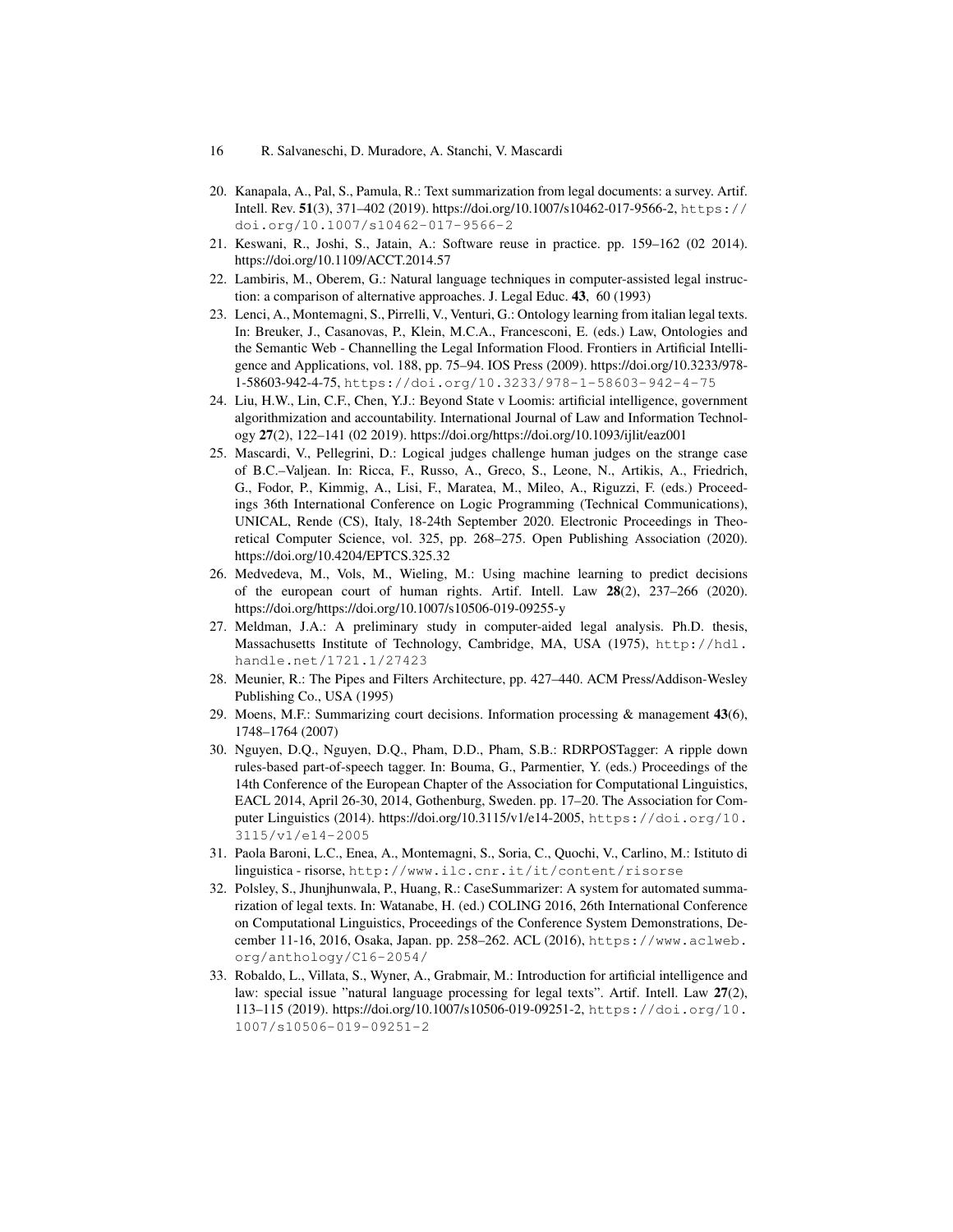- 16 R. Salvaneschi, D. Muradore, A. Stanchi, V. Mascardi
- 20. Kanapala, A., Pal, S., Pamula, R.: Text summarization from legal documents: a survey. Artif. Intell. Rev. 51(3), 371–402 (2019). https://doi.org/10.1007/s10462-017-9566-2, https:// doi.org/10.1007/s10462-017-9566-2
- 21. Keswani, R., Joshi, S., Jatain, A.: Software reuse in practice. pp. 159–162 (02 2014). https://doi.org/10.1109/ACCT.2014.57
- 22. Lambiris, M., Oberem, G.: Natural language techniques in computer-assisted legal instruction: a comparison of alternative approaches. J. Legal Educ. 43, 60 (1993)
- 23. Lenci, A., Montemagni, S., Pirrelli, V., Venturi, G.: Ontology learning from italian legal texts. In: Breuker, J., Casanovas, P., Klein, M.C.A., Francesconi, E. (eds.) Law, Ontologies and the Semantic Web - Channelling the Legal Information Flood. Frontiers in Artificial Intelligence and Applications, vol. 188, pp. 75–94. IOS Press (2009). https://doi.org/10.3233/978- 1-58603-942-4-75, https://doi.org/10.3233/978-1-58603-942-4-75
- 24. Liu, H.W., Lin, C.F., Chen, Y.J.: Beyond State v Loomis: artificial intelligence, government algorithmization and accountability. International Journal of Law and Information Technology 27(2), 122–141 (02 2019). https://doi.org/https://doi.org/10.1093/ijlit/eaz001
- 25. Mascardi, V., Pellegrini, D.: Logical judges challenge human judges on the strange case of B.C.–Valjean. In: Ricca, F., Russo, A., Greco, S., Leone, N., Artikis, A., Friedrich, G., Fodor, P., Kimmig, A., Lisi, F., Maratea, M., Mileo, A., Riguzzi, F. (eds.) Proceedings 36th International Conference on Logic Programming (Technical Communications), UNICAL, Rende (CS), Italy, 18-24th September 2020. Electronic Proceedings in Theoretical Computer Science, vol. 325, pp. 268–275. Open Publishing Association (2020). https://doi.org/10.4204/EPTCS.325.32
- 26. Medvedeva, M., Vols, M., Wieling, M.: Using machine learning to predict decisions of the european court of human rights. Artif. Intell. Law 28(2), 237–266 (2020). https://doi.org/https://doi.org/10.1007/s10506-019-09255-y
- 27. Meldman, J.A.: A preliminary study in computer-aided legal analysis. Ph.D. thesis, Massachusetts Institute of Technology, Cambridge, MA, USA (1975), http://hdl. handle.net/1721.1/27423
- 28. Meunier, R.: The Pipes and Filters Architecture, pp. 427–440. ACM Press/Addison-Wesley Publishing Co., USA (1995)
- 29. Moens, M.F.: Summarizing court decisions. Information processing  $\&$  management 43(6), 1748–1764 (2007)
- 30. Nguyen, D.Q., Nguyen, D.Q., Pham, D.D., Pham, S.B.: RDRPOSTagger: A ripple down rules-based part-of-speech tagger. In: Bouma, G., Parmentier, Y. (eds.) Proceedings of the 14th Conference of the European Chapter of the Association for Computational Linguistics, EACL 2014, April 26-30, 2014, Gothenburg, Sweden. pp. 17–20. The Association for Computer Linguistics (2014). https://doi.org/10.3115/v1/e14-2005, https://doi.org/10. 3115/v1/e14-2005
- 31. Paola Baroni, L.C., Enea, A., Montemagni, S., Soria, C., Quochi, V., Carlino, M.: Istituto di linguistica - risorse, http://www.ilc.cnr.it/it/content/risorse
- 32. Polsley, S., Jhunjhunwala, P., Huang, R.: CaseSummarizer: A system for automated summarization of legal texts. In: Watanabe, H. (ed.) COLING 2016, 26th International Conference on Computational Linguistics, Proceedings of the Conference System Demonstrations, December 11-16, 2016, Osaka, Japan. pp. 258–262. ACL (2016), https://www.aclweb. org/anthology/C16-2054/
- 33. Robaldo, L., Villata, S., Wyner, A., Grabmair, M.: Introduction for artificial intelligence and law: special issue "natural language processing for legal texts". Artif. Intell. Law 27(2), 113–115 (2019). https://doi.org/10.1007/s10506-019-09251-2, https://doi.org/10. 1007/s10506-019-09251-2